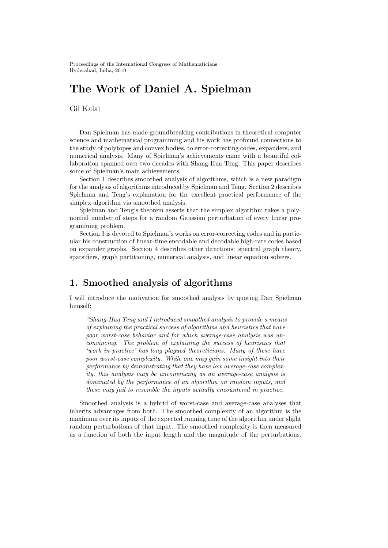Proceedings of the International Congress of Mathematicians Hyderabad, India, 2010

# The Work of Daniel A. Spielman

Gil Kalai

Dan Spielman has made groundbreaking contributions in theoretical computer science and mathematical programming and his work has profound connections to the study of polytopes and convex bodies, to error-correcting codes, expanders, and numerical analysis. Many of Spielman's achievements came with a beautiful collaboration spanned over two decades with Shang-Hua Teng. This paper describes some of Spielman's main achievements.

Section 1 describes smoothed analysis of algorithms, which is a new paradigm for the analysis of algorithms introduced by Spielman and Teng. Section 2 describes Spielman and Teng's explanation for the excellent practical performance of the simplex algorithm via smoothed analysis.

Spielman and Teng's theorem asserts that the simplex algorithm takes a polynomial number of steps for a random Gaussian perturbation of every linear programming problem.

Section 3 is devoted to Spielman's works on error-correcting codes and in particular his construction of linear-time encodable and decodable high-rate codes based on expander graphs. Section 4 describes other directions: spectral graph theory, sparsifiers, graph partitioning, numerical analysis, and linear equation solvers.

## 1. Smoothed analysis of algorithms

I will introduce the motivation for smoothed analysis by quoting Dan Spielman himself:

"Shang-Hua Teng and I introduced smoothed analysis to provide a means of explaining the practical success of algorithms and heuristics that have poor worst-case behavior and for which average-case analysis was unconvincing. The problem of explaining the success of heuristics that 'work in practice' has long plagued theoreticians. Many of these have poor worst-case complexity. While one may gain some insight into their performance by demonstrating that they have low average-case complexity, this analysis may be unconvincing as an average-case analysis is dominated by the performance of an algorithm on random inputs, and these may fail to resemble the inputs actually encountered in practice.

Smoothed analysis is a hybrid of worst-case and average-case analyses that inherits advantages from both. The smoothed complexity of an algorithm is the maximum over its inputs of the expected running time of the algorithm under slight random perturbations of that input. The smoothed complexity is then measured as a function of both the input length and the magnitude of the perturbations.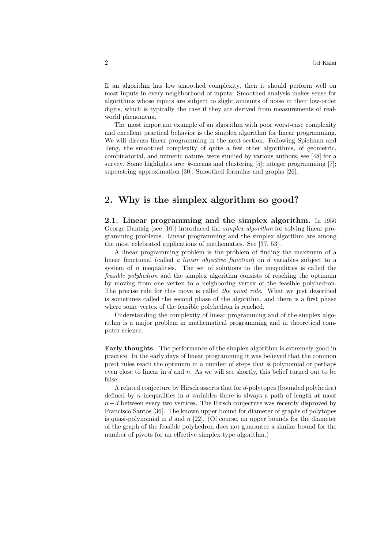If an algorithm has low smoothed complexity, then it should perform well on most inputs in every neighborhood of inputs. Smoothed analysis makes sense for algorithms whose inputs are subject to slight amounts of noise in their low-order digits, which is typically the case if they are derived from measurements of realworld phenomena.

The most important example of an algorithm with poor worst-case complexity and excellent practical behavior is the simplex algorithm for linear programming. We will discuss linear programming in the next section. Following Spielman and Teng, the smoothed complexity of quite a few other algorithms, of geometric, combinatorial, and numeric nature, were studied by various authors, see [48] for a survey. Some highlights are:  $k$ -means and clustering [5]; integer programming [7]; superstring approximation [30]; Smoothed formulas and graphs [26].

### 2. Why is the simplex algorithm so good?

2.1. Linear programming and the simplex algorithm. In 1950 George Dantzig (see [10]) introduced the *simplex algorithm* for solving linear programming problems. Linear programming and the simplex algorithm are among the most celebrated applications of mathematics. See [37, 53].

A linear programming problem is the problem of finding the maximum of a linear functional (called a linear objective function) on d variables subject to a system of n inequalities. The set of solutions to the inequalities is called the feasible polyhedron and the simplex algorithm consists of reaching the optimum by moving from one vertex to a neighboring vertex of the feasible polyhedron. The precise rule for this move is called the pivot rule. What we just described is sometimes called the second phase of the algorithm, and there is a first phase where some vertex of the feasible polyhedron is reached.

Understanding the complexity of linear programming and of the simplex algorithm is a major problem in mathematical programming and in theoretical computer science.

Early thoughts. The performance of the simplex algorithm is extremely good in practice. In the early days of linear programming it was believed that the common pivot rules reach the optimum in a number of steps that is polynomial or perhaps even close to linear in  $d$  and  $n$ . As we will see shortly, this belief turned out to be false.

A related conjecture by Hirsch asserts that for d-polytopes (bounded polyhedra) defined by n inequalities in d variables there is always a path of length at most  $n-d$  between every two vertices. The Hirsch conjecture was recently disproved by Francisco Santos [36]. The known upper bound for diameter of graphs of polytopes is quasi-polynomial in  $d$  and  $n$  [22]. (Of course, an upper bounds for the diameter of the graph of the feasible polyhedron does not guarantee a similar bound for the number of pivots for an effective simplex type algorithm.)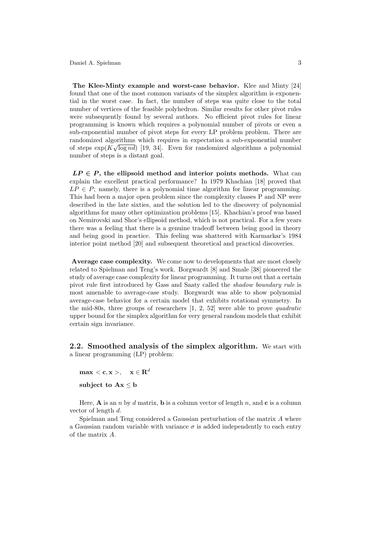The Klee-Minty example and worst-case behavior. Klee and Minty [24] found that one of the most common variants of the simplex algorithm is exponential in the worst case. In fact, the number of steps was quite close to the total number of vertices of the feasible polyhedron. Similar results for other pivot rules were subsequently found by several authors. No efficient pivot rules for linear programming is known which requires a polynomial number of pivots or even a sub-exponential number of pivot steps for every LP problem problem. There are randomized algorithms which requires in expectation a sub-exponential number of steps  $\exp(K\sqrt{\log nd})$  [19, 34]. Even for randomized algorithms a polynomial number of steps is a distant goal.

 $LP \in P$ , the ellipsoid method and interior points methods. What can explain the excellent practical performance? In 1979 Khachian [18] proved that  $LP \in P$ ; namely, there is a polynomial time algorithm for linear programming. This had been a major open problem since the complexity classes P and NP were described in the late sixties, and the solution led to the discovery of polynomial algorithms for many other optimization problems [15]. Khachian's proof was based on Nemirovski and Shor's ellipsoid method, which is not practical. For a few years there was a feeling that there is a genuine tradeoff between being good in theory and being good in practice. This feeling was shattered with Karmarkar's 1984 interior point method [20] and subsequent theoretical and practical discoveries.

Average case complexity. We come now to developments that are most closely related to Spielman and Teng's work. Borgwardt [8] and Smale [38] pioneered the study of average case complexity for linear programming. It turns out that a certain pivot rule first introduced by Gass and Saaty called the shadow boundary rule is most amenable to average-case study. Borgwardt was able to show polynomial average-case behavior for a certain model that exhibits rotational symmetry. In the mid-80s, three groups of researchers  $[1, 2, 52]$  were able to prove *quadratic* upper bound for the simplex algorithm for very general random models that exhibit certain sign invariance.

2.2. Smoothed analysis of the simplex algorithm. We start with a linear programming (LP) problem:

 $\max \langle c, x \rangle$ ,  $x \in \mathbb{R}^d$ 

subject to  $Ax \leq b$ 

Here, **A** is an *n* by d matrix, **b** is a column vector of length *n*, and **c** is a column vector of length d.

Spielman and Teng considered a Gaussian perturbation of the matrix A where a Gaussian random variable with variance  $\sigma$  is added independently to each entry of the matrix A.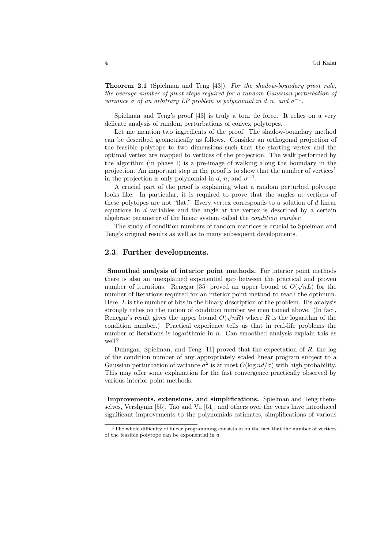Theorem 2.1 (Spielman and Teng [43]). For the shadow-boundary pivot rule, the average number of pivot steps required for a random Gaussian perturbation of variance  $\sigma$  of an arbitrary LP problem is polynomial in d, n, and  $\sigma^{-1}$ .

Spielman and Teng's proof [43] is truly a tour de force. It relies on a very delicate analysis of random perturbations of convex polytopes.

Let me mention two ingredients of the proof: The shadow-boundary method can be described geometrically as follows. Consider an orthogonal projection of the feasible polytope to two dimensions such that the starting vertex and the optimal vertex are mapped to vertices of the projection. The walk performed by the algorithm (in phase I) is a pre-image of walking along the boundary in the projection. An important step in the proof is to show that the number of vertices<sup>1</sup> in the projection is only polynomial in d, n, and  $\sigma^{-1}$ .

A crucial part of the proof is explaining what a random perturbed polytope looks like. In particular, it is required to prove that the angles at vertices of these polytopes are not "flat." Every vertex corresponds to a solution of d linear equations in  $d$  variables and the angle at the vertex is described by a certain algebraic parameter of the linear system called the condition number.

The study of condition numbers of random matrices is crucial to Spielman and Teng's original results as well as to many subsequent developments.

#### 2.3. Further developments.

Smoothed analysis of interior point methods. For interior point methods there is also an unexplained exponential gap between the practical and proven number of iterations. Renegar [35] proved an upper bound of  $O(\sqrt{n}L)$  for the number of iterations required for an interior point method to reach the optimum. Here,  $L$  is the number of bits in the binary description of the problem. His analysis strongly relies on the notion of condition number we men tioned above. (In fact, Renegar's result gives the upper bound  $O(\sqrt{n}R)$  where R is the logarithm of the condition number.) Practical experience tells us that in real-life problems the number of iterations is logarithmic in n. Can smoothed analysis explain this as well?

Dunagan, Spielman, and Teng  $[11]$  proved that the expectation of R, the log of the condition number of any appropriately scaled linear program subject to a Gaussian perturbation of variance  $\sigma^2$  is at most  $O(\log nd/\sigma)$  with high probability. This may offer some explanation for the fast convergence practically observed by various interior point methods.

Improvements, extensions, and simplifications. Spielman and Teng themselves, Vershynin [55], Tao and Vu [51], and others over the years have introduced significant improvements to the polynomials estimates, simplifications of various

 $1$ <sup>1</sup>The whole difficulty of linear programming consists in on the fact that the number of vertices of the feasible polytope can be exponential in  $d$ .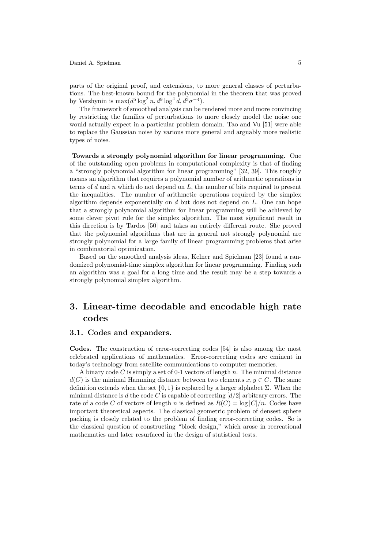parts of the original proof, and extensions, to more general classes of perturbations. The best-known bound for the polynomial in the theorem that was proved by Vershynin is  $\max(d^5 \log^2 n, d^9 \log^4 d, d^3 \sigma^{-4}).$ 

The framework of smoothed analysis can be rendered more and more convincing by restricting the families of perturbations to more closely model the noise one would actually expect in a particular problem domain. Tao and Vu [51] were able to replace the Gaussian noise by various more general and arguably more realistic types of noise.

Towards a strongly polynomial algorithm for linear programming. One of the outstanding open problems in computational complexity is that of finding a "strongly polynomial algorithm for linear programming" [32, 39]. This roughly means an algorithm that requires a polynomial number of arithmetic operations in terms of d and n which do not depend on  $L$ , the number of bits required to present the inequalities. The number of arithmetic operations required by the simplex algorithm depends exponentially on  $d$  but does not depend on  $L$ . One can hope that a strongly polynomial algorithm for linear programming will be achieved by some clever pivot rule for the simplex algorithm. The most significant result in this direction is by Tardos [50] and takes an entirely different route. She proved that the polynomial algorithms that are in general not strongly polynomial are strongly polynomial for a large family of linear programming problems that arise in combinatorial optimization.

Based on the smoothed analysis ideas, Kelner and Spielman [23] found a randomized polynomial-time simplex algorithm for linear programming. Finding such an algorithm was a goal for a long time and the result may be a step towards a strongly polynomial simplex algorithm.

# 3. Linear-time decodable and encodable high rate codes

#### 3.1. Codes and expanders.

Codes. The construction of error-correcting codes [54] is also among the most celebrated applications of mathematics. Error-correcting codes are eminent in today's technology from satellite communications to computer memories.

A binary code C is simply a set of 0-1 vectors of length  $n$ . The minimal distance  $d(C)$  is the minimal Hamming distance between two elements  $x, y \in C$ . The same definition extends when the set  $\{0, 1\}$  is replaced by a larger alphabet Σ. When the minimal distance is d the code C is capable of correcting  $\lfloor d/2 \rfloor$  arbitrary errors. The rate of a code C of vectors of length n is defined as  $R(C) = \log |C|/n$ . Codes have important theoretical aspects. The classical geometric problem of densest sphere packing is closely related to the problem of finding error-correcting codes. So is the classical question of constructing "block design," which arose in recreational mathematics and later resurfaced in the design of statistical tests.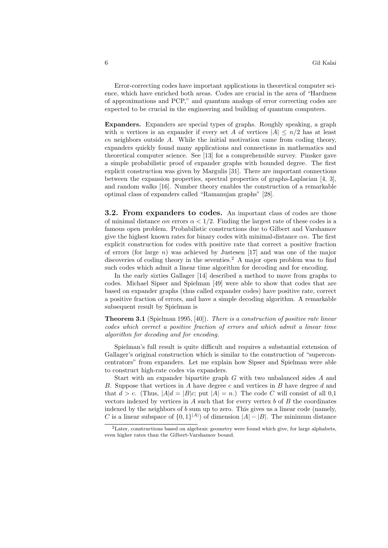Error-correcting codes have important applications in theoretical computer science, which have enriched both areas. Codes are crucial in the area of "Hardness of approximations and PCP," and quantum analogs of error correcting codes are expected to be crucial in the engineering and building of quantum computers.

Expanders. Expanders are special types of graphs. Roughly speaking, a graph with *n* vertices is an expander if every set A of vertices  $|A| \leq n/2$  has at least  $\epsilon n$  neighbors outside A. While the initial motivation came from coding theory, expanders quickly found many applications and connections in mathematics and theoretical computer science. See [13] for a comprehensible survey. Pinsker gave a simple probabilistic proof of expander graphs with bounded degree. The first explicit construction was given by Margulis [31]. There are important connections between the expansion properties, spectral properties of graphs-Laplacian [4, 3], and random walks [16]. Number theory enables the construction of a remarkable optimal class of expanders called "Ramanujan graphs" [28].

3.2. From expanders to codes. An important class of codes are those of minimal distance  $\alpha n$  errors  $\alpha < 1/2$ . Finding the largest rate of these codes is a famous open problem. Probabilistic constructions due to Gilbert and Varshamov give the highest known rates for binary codes with minimal-distance  $\alpha n$ . The first explicit construction for codes with positive rate that correct a positive fraction of errors (for large  $n$ ) was achieved by Justesen [17] and was one of the major discoveries of coding theory in the seventies.<sup>2</sup> A major open problem was to find such codes which admit a linear time algorithm for decoding and for encoding.

In the early sixties Gallager [14] described a method to move from graphs to codes. Michael Sipser and Spielman [49] were able to show that codes that are based on expander graphs (thus called expander codes) have positive rate, correct a positive fraction of errors, and have a simple decoding algorithm. A remarkable subsequent result by Spielman is

**Theorem 3.1** (Spielman 1995, [40]). There is a construction of positive rate linear codes which correct a positive fraction of errors and which admit a linear time algorithm for decoding and for encoding.

Spielman's full result is quite difficult and requires a substantial extension of Gallager's original construction which is similar to the construction of "superconcentrators" from expanders. Let me explain how Sipser and Spielman were able to construct high-rate codes via expanders.

Start with an expander bipartite graph G with two unbalanced sides A and B. Suppose that vertices in A have degree c and vertices in B have degree d and that  $d > c$ . (Thus,  $|A|d = |B|c$ ; put  $|A| = n$ .) The code C will consist of all 0,1 vectors indexed by vertices in  $A$  such that for every vertex  $b$  of  $B$  the coordinates indexed by the neighbors of  $b$  sum up to zero. This gives us a linear code (namely, C is a linear subspace of  $\{0,1\}^{|A|}$  of dimension  $|A| - |B|$ . The minimum distance

<sup>&</sup>lt;sup>2</sup>Later, constructions based on algebraic geometry were found which give, for large alphabets, even higher rates than the Gilbert-Varshamov bound.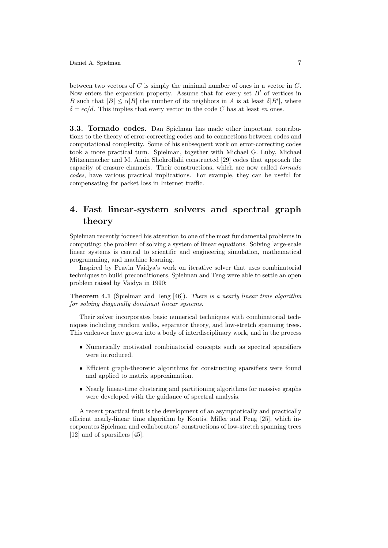between two vectors of  $C$  is simply the minimal number of ones in a vector in  $C$ . Now enters the expansion property. Assume that for every set  $B'$  of vertices in B such that  $|B| \le \alpha |B|$  the number of its neighbors in A is at least  $\delta |B'|$ , where  $\delta = \epsilon c/d$ . This implies that every vector in the code C has at least  $\epsilon n$  ones.

3.3. Tornado codes. Dan Spielman has made other important contributions to the theory of error-correcting codes and to connections between codes and computational complexity. Some of his subsequent work on error-correcting codes took a more practical turn. Spielman, together with Michael G. Luby, Michael Mitzenmacher and M. Amin Shokrollahi constructed [29] codes that approach the capacity of erasure channels. Their constructions, which are now called tornado codes, have various practical implications. For example, they can be useful for compensating for packet loss in Internet traffic.

# 4. Fast linear-system solvers and spectral graph theory

Spielman recently focused his attention to one of the most fundamental problems in computing: the problem of solving a system of linear equations. Solving large-scale linear systems is central to scientific and engineering simulation, mathematical programming, and machine learning.

Inspired by Pravin Vaidya's work on iterative solver that uses combinatorial techniques to build preconditioners, Spielman and Teng were able to settle an open problem raised by Vaidya in 1990:

Theorem 4.1 (Spielman and Teng [46]). There is a nearly linear time algorithm for solving diagonally dominant linear systems.

Their solver incorporates basic numerical techniques with combinatorial techniques including random walks, separator theory, and low-stretch spanning trees. This endeavor have grown into a body of interdisciplinary work, and in the process

- Numerically motivated combinatorial concepts such as spectral sparsifiers were introduced.
- Efficient graph-theoretic algorithms for constructing sparsifiers were found and applied to matrix approximation.
- Nearly linear-time clustering and partitioning algorithms for massive graphs were developed with the guidance of spectral analysis.

A recent practical fruit is the development of an asymptotically and practically efficient nearly-linear time algorithm by Koutis, Miller and Peng [25], which incorporates Spielman and collaborators' constructions of low-stretch spanning trees [12] and of sparsifiers [45].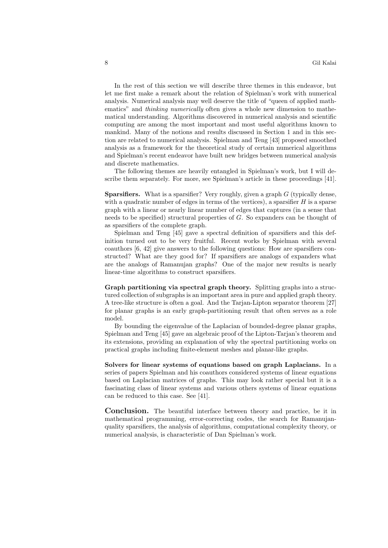In the rest of this section we will describe three themes in this endeavor, but let me first make a remark about the relation of Spielman's work with numerical analysis. Numerical analysis may well deserve the title of "queen of applied mathematics" and *thinking numerically* often gives a whole new dimension to mathematical understanding. Algorithms discovered in numerical analysis and scientific computing are among the most important and most useful algorithms known to mankind. Many of the notions and results discussed in Section 1 and in this section are related to numerical analysis. Spielman and Teng [43] proposed smoothed analysis as a framework for the theoretical study of certain numerical algorithms and Spielman's recent endeavor have built new bridges between numerical analysis and discrete mathematics.

The following themes are heavily entangled in Spielman's work, but I will describe them separately. For more, see Spielman's article in these proceedings [41].

**Sparsifiers.** What is a sparsifier? Very roughly, given a graph  $G$  (typically dense, with a quadratic number of edges in terms of the vertices), a sparsifier  $H$  is a sparse graph with a linear or nearly linear number of edges that captures (in a sense that needs to be specified) structural properties of G. So expanders can be thought of as sparsifiers of the complete graph.

Spielman and Teng [45] gave a spectral definition of sparsifiers and this definition turned out to be very fruitful. Recent works by Spielman with several coauthors [6, 42] give answers to the following questions: How are sparsifiers constructed? What are they good for? If sparsifiers are analogs of expanders what are the analogs of Ramanujan graphs? One of the major new results is nearly linear-time algorithms to construct sparsifiers.

Graph partitioning via spectral graph theory. Splitting graphs into a structured collection of subgraphs is an important area in pure and applied graph theory. A tree-like structure is often a goal. And the Tarjan-Lipton separator theorem [27] for planar graphs is an early graph-partitioning result that often serves as a role model.

By bounding the eigenvalue of the Laplacian of bounded-degree planar graphs, Spielman and Teng [45] gave an algebraic proof of the Lipton-Tarjan's theorem and its extensions, providing an explanation of why the spectral partitioning works on practical graphs including finite-element meshes and planar-like graphs.

Solvers for linear systems of equations based on graph Laplacians. In a series of papers Spielman and his coauthors considered systems of linear equations based on Laplacian matrices of graphs. This may look rather special but it is a fascinating class of linear systems and various others systems of linear equations can be reduced to this case. See [41].

Conclusion. The beautiful interface between theory and practice, be it in mathematical programming, error-correcting codes, the search for Ramanujanquality sparsifiers, the analysis of algorithms, computational complexity theory, or numerical analysis, is characteristic of Dan Spielman's work.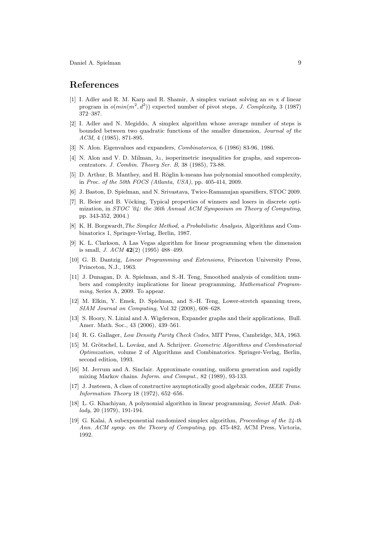Daniel A. Spielman 9

## References

- [1] I. Adler and R. M. Karp and R. Shamir, A simplex variant solving an m x d linear program in  $o(min(m^2, d^2))$  expected number of pivot steps, J. Complexity, 3 (1987) 372–387.
- [2] I. Adler and N. Megiddo, A simplex algorithm whose average number of steps is bounded between two quadratic functions of the smaller dimension, Journal of the ACM, 4 (1985), 871-895.
- [3] N. Alon. Eigenvalues and expanders, Combinatorica, 6 (1986) 83-96, 1986.
- [4] N. Alon and V. D. Milman,  $\lambda_1$ , isoperimetric inequalities for graphs, and superconcentrators. J. Combin. Theory Ser. B, 38 (1985), 73-88.
- [5] D. Arthur, B. Manthey, and H. Röglin k-means has polynomial smoothed complexity, in Proc. of the 50th FOCS (Atlanta, USA), pp. 405-414, 2009.
- [6] J. Baston, D. Spielman, and N. Srivastava, Twice-Ramanujan sparsifiers, STOC 2009.
- [7] R. Beier and B. Vöcking, Typical properties of winners and losers in discrete optimization, in STOC '04: the 36th Annual ACM Symposium on Theory of Computing, pp. 343-352, 2004.)
- [8] K. H. Borgwardt,The Simplex Method, a Probabilistic Analysis, Algorithms and Combinatorics 1, Springer-Verlag, Berlin, 1987.
- [9] K. L. Clarkson, A Las Vegas algorithm for linear programming when the dimension is small, *J. ACM*  $42(2)$  (1995) 488-499.
- [10] G. B. Dantzig, Linear Programming and Extensions, Princeton University Press, Princeton, N.J., 1963.
- [11] J. Dunagan, D. A. Spielman, and S.-H. Teng, Smoothed analysis of condition numbers and complexity implications for linear programming, Mathematical Programming, Series A, 2009. To appear.
- [12] M. Elkin, Y. Emek, D. Spielman, and S.-H. Teng, Lower-stretch spanning trees, SIAM Journal on Computing, Vol 32 (2008), 608–628.
- [13] S. Hoory, N. Linial and A. Wigderson, Expander graphs and their applications, Bull. Amer. Math. Soc., 43 (2006), 439–561.
- [14] R. G. Gallager, Low Density Parity Check Codes, MIT Press, Cambridge, MA, 1963.
- [15] M. Grötschel, L. Lovász, and A. Schrijver. Geometric Algorithms and Combinatorial Optimization, volume 2 of Algorithms and Combinatorics. Springer-Verlag, Berlin, second edition, 1993.
- [16] M. Jerrum and A. Sinclair. Approximate counting, uniform generation and rapidly mixing Markov chains. Inform. and Comput., 82 (1989), 93-133.
- [17] J. Justesen, A class of constructive asymptotically good algebraic codes, IEEE Trans. Information Theory 18 (1972), 652–656.
- [18] L. G. Khachiyan, A polynomial algorithm in linear programming, Soviet Math. Doklady, 20 (1979), 191-194.
- [19] G. Kalai, A subexponential randomized simplex algorithm, Proceedings of the 24-th Ann. ACM symp. on the Theory of Computing, pp. 475-482, ACM Press, Victoria, 1992.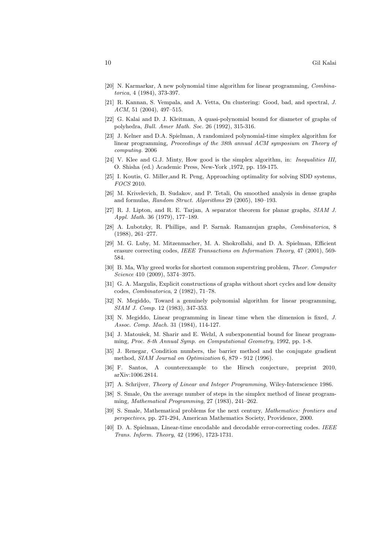- [20] N. Karmarkar, A new polynomial time algorithm for linear programming, Combinatorica, 4 (1984), 373-397.
- [21] R. Kannan, S. Vempala, and A. Vetta, On clustering: Good, bad, and spectral, J. ACM, 51 (2004), 497–515.
- [22] G. Kalai and D. J. Kleitman, A quasi-polynomial bound for diameter of graphs of polyhedra, Bull. Amer Math. Soc. 26 (1992), 315-316.
- [23] J. Kelner and D.A. Spielman, A randomized polynomial-time simplex algorithm for linear programming, Proceedings of the 38th annual ACM symposium on Theory of computing. 2006
- [24] V. Klee and G.J. Minty, How good is the simplex algorithm, in: Inequalities III, O. Shisha (ed.) Academic Press, New-York ,1972, pp. 159-175.
- [25] I. Koutis, G. Miller,and R. Peng, Approaching optimality for solving SDD systems, FOCS 2010.
- [26] M. Krivelevich, B. Sudakov, and P. Tetali, On smoothed analysis in dense graphs and formulas, Random Struct. Algorithms 29 (2005), 180–193.
- [27] R. J. Lipton, and R. E. Tarjan, A separator theorem for planar graphs, SIAM J. Appl. Math. 36 (1979), 177–189.
- [28] A. Lubotzky, R. Phillips, and P. Sarnak. Ramanujan graphs, Combinatorica, 8 (1988), 261–277.
- [29] M. G. Luby, M. Mitzenmacher, M. A. Shokrollahi, and D. A. Spielman, Efficient erasure correcting codes, IEEE Transactions on Information Theory, 47 (2001), 569- 584.
- [30] B. Ma, Why greed works for shortest common superstring problem, Theor. Computer Science 410 (2009), 5374–3975.
- [31] G. A. Margulis, Explicit constructions of graphs without short cycles and low density codes, Combinatorica, 2 (1982), 71–78.
- [32] N. Megiddo, Toward a genuinely polynomial algorithm for linear programming, SIAM J. Comp. 12 (1983), 347-353.
- [33] N. Megiddo, Linear programming in linear time when the dimension is fixed, J. Assoc. Comp. Mach. 31 (1984), 114-127.
- [34] J. Matoušek, M. Sharir and E. Welzl, A subexponential bound for linear programming, Proc. 8-th Annual Symp. on Computational Geometry, 1992, pp. 1-8.
- [35] J. Renegar, Condition numbers, the barrier method and the conjugate gradient method, SIAM Journal on Optimization 6, 879 - 912 (1996).
- [36] F. Santos, A counterexample to the Hirsch conjecture, preprint 2010, arXiv:1006.2814.
- [37] A. Schrijver, *Theory of Linear and Integer Programming*, Wiley-Interscience 1986.
- [38] S. Smale, On the average number of steps in the simplex method of linear programming, Mathematical Programming, 27 (1983), 241–262.
- [39] S. Smale, Mathematical problems for the next century, Mathematics: frontiers and perspectives, pp. 271-294, American Mathematics Society, Providence, 2000.
- [40] D. A. Spielman, Linear-time encodable and decodable error-correcting codes. IEEE Trans. Inform. Theory, 42 (1996), 1723-1731.